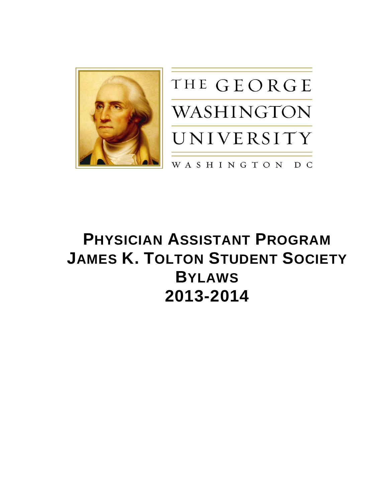



# **PHYSICIAN ASSISTANT PROGRAM JAMES K. TOLTON STUDENT SOCIETY BYLAWS 2013-2014**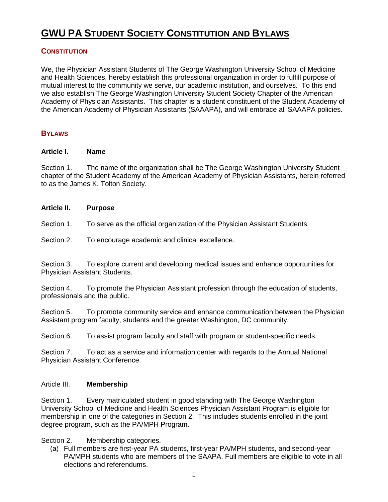# **GWU PA STUDENT SOCIETY CONSTITUTION AND BYLAWS**

# **CONSTITUTION**

We, the Physician Assistant Students of The George Washington University School of Medicine and Health Sciences, hereby establish this professional organization in order to fulfill purpose of mutual interest to the community we serve, our academic institution, and ourselves. To this end we also establish The George Washington University Student Society Chapter of the American Academy of Physician Assistants. This chapter is a student constituent of the Student Academy of the American Academy of Physician Assistants (SAAAPA), and will embrace all SAAAPA policies.

# **BYLAWS**

#### **Article I. Name**

Section 1. The name of the organization shall be The George Washington University Student chapter of the Student Academy of the American Academy of Physician Assistants, herein referred to as the James K. Tolton Society.

### **Article II. Purpose**

Section 1. To serve as the official organization of the Physician Assistant Students.

#### Section 2. To encourage academic and clinical excellence.

Section 3. To explore current and developing medical issues and enhance opportunities for Physician Assistant Students.

Section 4. To promote the Physician Assistant profession through the education of students, professionals and the public.

Section 5. To promote community service and enhance communication between the Physician Assistant program faculty, students and the greater Washington, DC community.

Section 6. To assist program faculty and staff with program or student-specific needs.

Section 7. To act as a service and information center with regards to the Annual National Physician Assistant Conference.

## Article III. **Membership**

Section 1. Every matriculated student in good standing with The George Washington University School of Medicine and Health Sciences Physician Assistant Program is eligible for membership in one of the categories in Section 2. This includes students enrolled in the joint degree program, such as the PA/MPH Program.

Section 2. Membership categories.

(a) Full members are first-year PA students, first-year PA/MPH students, and second-year PA/MPH students who are members of the SAAPA. Full members are eligible to vote in all elections and referendums.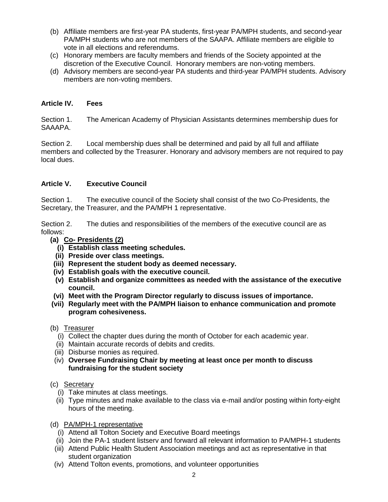- (b) Affiliate members are first-year PA students, first-year PA/MPH students, and second-year PA/MPH students who are not members of the SAAPA. Affiliate members are eligible to vote in all elections and referendums.
- (c) Honorary members are faculty members and friends of the Society appointed at the discretion of the Executive Council. Honorary members are non-voting members.
- (d) Advisory members are second-year PA students and third-year PA/MPH students. Advisory members are non-voting members.

# **Article IV. Fees**

Section 1. The American Academy of Physician Assistants determines membership dues for SAAAPA.

Section 2. Local membership dues shall be determined and paid by all full and affiliate members and collected by the Treasurer. Honorary and advisory members are not required to pay local dues.

# **Article V. Executive Council**

Section 1. The executive council of the Society shall consist of the two Co-Presidents, the Secretary, the Treasurer, and the PA/MPH 1 representative.

Section 2. The duties and responsibilities of the members of the executive council are as follows:

- **(a) Co- Presidents (2)**
	- **(i) Establish class meeting schedules.**
	- **(ii) Preside over class meetings.**
- **(iii) Represent the student body as deemed necessary.**
- **(iv) Establish goals with the executive council.**
- **(v) Establish and organize committees as needed with the assistance of the executive council.**
- **(vi) Meet with the Program Director regularly to discuss issues of importance.**
- **(vii) Regularly meet with the PA/MPH liaison to enhance communication and promote program cohesiveness.**
- (b) Treasurer
	- (i) Collect the chapter dues during the month of October for each academic year.
	- (ii) Maintain accurate records of debits and credits.
	- (iii) Disburse monies as required.
	- (iv) **Oversee Fundraising Chair by meeting at least once per month to discuss fundraising for the student society**

### (c) Secretary

- (i) Take minutes at class meetings.
- (ii) Type minutes and make available to the class via e-mail and/or posting within forty-eight hours of the meeting.
- (d) PA/MPH-1 representative
	- (i) Attend all Tolton Society and Executive Board meetings
	- (ii) Join the PA-1 student listserv and forward all relevant information to PA/MPH-1 students
	- (iii) Attend Public Health Student Association meetings and act as representative in that student organization
	- (iv) Attend Tolton events, promotions, and volunteer opportunities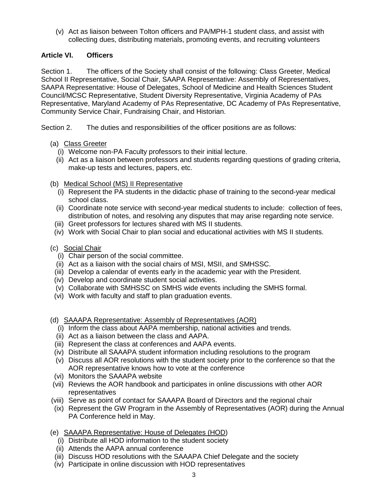(v) Act as liaison between Tolton officers and PA/MPH-1 student class, and assist with collecting dues, distributing materials, promoting events, and recruiting volunteers

# **Article VI. Officers**

Section 1. The officers of the Society shall consist of the following: Class Greeter, Medical School II Representative, Social Chair, SAAPA Representative: Assembly of Representatives, SAAPA Representative: House of Delegates, School of Medicine and Health Sciences Student Council/MCSC Representative, Student Diversity Representative, Virginia Academy of PAs Representative, Maryland Academy of PAs Representative, DC Academy of PAs Representative, Community Service Chair, Fundraising Chair, and Historian.

Section 2. The duties and responsibilities of the officer positions are as follows:

- (a) Class Greeter
	- (i) Welcome non-PA Faculty professors to their initial lecture.
	- (ii) Act as a liaison between professors and students regarding questions of grading criteria, make-up tests and lectures, papers, etc.
- (b) Medical School (MS) II Representative
	- (i) Represent the PA students in the didactic phase of training to the second-year medical school class.
	- (ii) Coordinate note service with second-year medical students to include: collection of fees, distribution of notes, and resolving any disputes that may arise regarding note service.
	- (iii) Greet professors for lectures shared with MS II students.
	- (iv) Work with Social Chair to plan social and educational activities with MS II students.
- (c) Social Chair
	- (i) Chair person of the social committee.
	- (ii) Act as a liaison with the social chairs of MSI, MSII, and SMHSSC.
	- (iii) Develop a calendar of events early in the academic year with the President.
	- (iv) Develop and coordinate student social activities.
	- (v) Collaborate with SMHSSC on SMHS wide events including the SMHS formal.
	- (vi) Work with faculty and staff to plan graduation events.
- (d) SAAAPA Representative: Assembly of Representatives (AOR)
	- (i) Inform the class about AAPA membership, national activities and trends.
	- (ii) Act as a liaison between the class and AAPA.
	- (iii) Represent the class at conferences and AAPA events.
	- (iv) Distribute all SAAAPA student information including resolutions to the program
	- (v) Discuss all AOR resolutions with the student society prior to the conference so that the AOR representative knows how to vote at the conference
- (vi) Monitors the SAAAPA website
- (vii) Reviews the AOR handbook and participates in online discussions with other AOR representatives
- (viii) Serve as point of contact for SAAAPA Board of Directors and the regional chair
- (ix) Represent the GW Program in the Assembly of Representatives (AOR) during the Annual PA Conference held in May.
- (e) SAAAPA Representative: House of Delegates (HOD)
	- (i) Distribute all HOD information to the student society
	- (ii) Attends the AAPA annual conference
	- (iii) Discuss HOD resolutions with the SAAAPA Chief Delegate and the society
	- (iv) Participate in online discussion with HOD representatives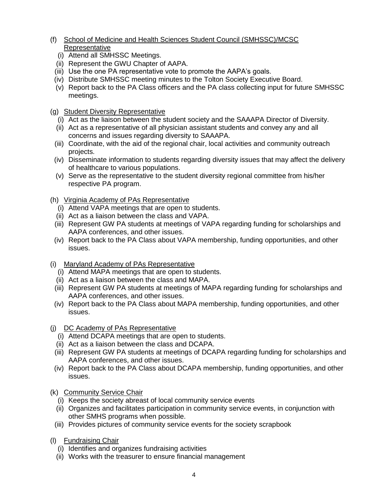- (f) School of Medicine and Health Sciences Student Council (SMHSSC)/MCSC **Representative** 
	- (i) Attend all SMHSSC Meetings.
	- (ii) Represent the GWU Chapter of AAPA.
	- (iii) Use the one PA representative vote to promote the AAPA's goals.
	- (iv) Distribute SMHSSC meeting minutes to the Tolton Society Executive Board.
	- (v) Report back to the PA Class officers and the PA class collecting input for future SMHSSC meetings.
- (g) Student Diversity Representative
	- (i) Act as the liaison between the student society and the SAAAPA Director of Diversity.
	- (ii) Act as a representative of all physician assistant students and convey any and all concerns and issues regarding diversity to SAAAPA.
	- (iii) Coordinate, with the aid of the regional chair, local activities and community outreach projects.
	- (iv) Disseminate information to students regarding diversity issues that may affect the delivery of healthcare to various populations.
	- (v) Serve as the representative to the student diversity regional committee from his/her respective PA program.
- (h) Virginia Academy of PAs Representative
	- (i) Attend VAPA meetings that are open to students.
	- (ii) Act as a liaison between the class and VAPA.
	- (iii) Represent GW PA students at meetings of VAPA regarding funding for scholarships and AAPA conferences, and other issues.
	- (iv) Report back to the PA Class about VAPA membership, funding opportunities, and other issues.
- (i) Maryland Academy of PAs Representative
	- (i) Attend MAPA meetings that are open to students.
	- (ii) Act as a liaison between the class and MAPA.
	- (iii) Represent GW PA students at meetings of MAPA regarding funding for scholarships and AAPA conferences, and other issues.
- (iv) Report back to the PA Class about MAPA membership, funding opportunities, and other issues.
- (j) DC Academy of PAs Representative
	- (i) Attend DCAPA meetings that are open to students.
	- (ii) Act as a liaison between the class and DCAPA.
	- (iii) Represent GW PA students at meetings of DCAPA regarding funding for scholarships and AAPA conferences, and other issues.
	- (iv) Report back to the PA Class about DCAPA membership, funding opportunities, and other issues.
- (k) Community Service Chair
	- (i) Keeps the society abreast of local community service events
	- (ii) Organizes and facilitates participation in community service events, in conjunction with other SMHS programs when possible.
	- (iii) Provides pictures of community service events for the society scrapbook
- (l) Fundraising Chair
	- (i) Identifies and organizes fundraising activities
	- (ii) Works with the treasurer to ensure financial management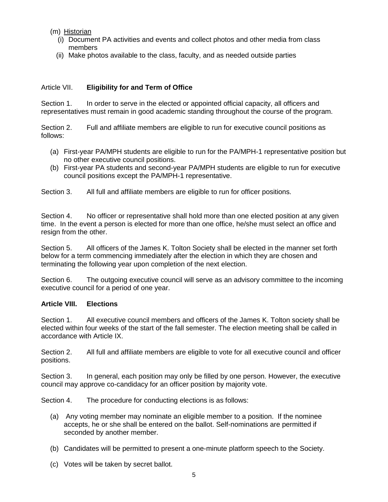- (m) Historian
	- (i) Document PA activities and events and collect photos and other media from class members
	- (ii) Make photos available to the class, faculty, and as needed outside parties

# Article VII. **Eligibility for and Term of Office**

Section 1. In order to serve in the elected or appointed official capacity, all officers and representatives must remain in good academic standing throughout the course of the program.

Section 2. Full and affiliate members are eligible to run for executive council positions as follows:

- (a) First-year PA/MPH students are eligible to run for the PA/MPH-1 representative position but no other executive council positions.
- (b) First-year PA students and second-year PA/MPH students are eligible to run for executive council positions except the PA/MPH-1 representative.

Section 3. All full and affiliate members are eligible to run for officer positions.

Section 4. No officer or representative shall hold more than one elected position at any given time. In the event a person is elected for more than one office, he/she must select an office and resign from the other.

Section 5. All officers of the James K. Tolton Society shall be elected in the manner set forth below for a term commencing immediately after the election in which they are chosen and terminating the following year upon completion of the next election.

Section 6. The outgoing executive council will serve as an advisory committee to the incoming executive council for a period of one year.

### **Article VIII. Elections**

Section 1. All executive council members and officers of the James K. Tolton society shall be elected within four weeks of the start of the fall semester. The election meeting shall be called in accordance with Article IX.

Section 2. All full and affiliate members are eligible to vote for all executive council and officer positions.

Section 3. In general, each position may only be filled by one person. However, the executive council may approve co-candidacy for an officer position by majority vote.

Section 4. The procedure for conducting elections is as follows:

- (a) Any voting member may nominate an eligible member to a position. If the nominee accepts, he or she shall be entered on the ballot. Self-nominations are permitted if seconded by another member.
- (b) Candidates will be permitted to present a one-minute platform speech to the Society.
- (c) Votes will be taken by secret ballot.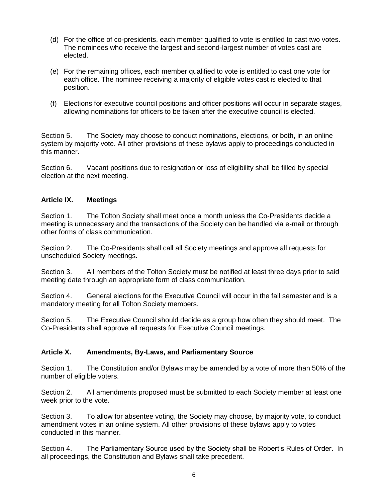- (d) For the office of co-presidents, each member qualified to vote is entitled to cast two votes. The nominees who receive the largest and second-largest number of votes cast are elected.
- (e) For the remaining offices, each member qualified to vote is entitled to cast one vote for each office. The nominee receiving a majority of eligible votes cast is elected to that position.
- (f) Elections for executive council positions and officer positions will occur in separate stages, allowing nominations for officers to be taken after the executive council is elected.

Section 5. The Society may choose to conduct nominations, elections, or both, in an online system by majority vote. All other provisions of these bylaws apply to proceedings conducted in this manner.

Section 6. Vacant positions due to resignation or loss of eligibility shall be filled by special election at the next meeting.

### **Article IX. Meetings**

Section 1. The Tolton Society shall meet once a month unless the Co-Presidents decide a meeting is unnecessary and the transactions of the Society can be handled via e-mail or through other forms of class communication.

Section 2. The Co-Presidents shall call all Society meetings and approve all requests for unscheduled Society meetings.

Section 3. All members of the Tolton Society must be notified at least three days prior to said meeting date through an appropriate form of class communication.

Section 4. General elections for the Executive Council will occur in the fall semester and is a mandatory meeting for all Tolton Society members.

Section 5. The Executive Council should decide as a group how often they should meet. The Co-Presidents shall approve all requests for Executive Council meetings.

### **Article X. Amendments, By-Laws, and Parliamentary Source**

Section 1. The Constitution and/or Bylaws may be amended by a vote of more than 50% of the number of eligible voters.

Section 2. All amendments proposed must be submitted to each Society member at least one week prior to the vote.

Section 3. To allow for absentee voting, the Society may choose, by majority vote, to conduct amendment votes in an online system. All other provisions of these bylaws apply to votes conducted in this manner.

Section 4. The Parliamentary Source used by the Society shall be Robert's Rules of Order. In all proceedings, the Constitution and Bylaws shall take precedent.